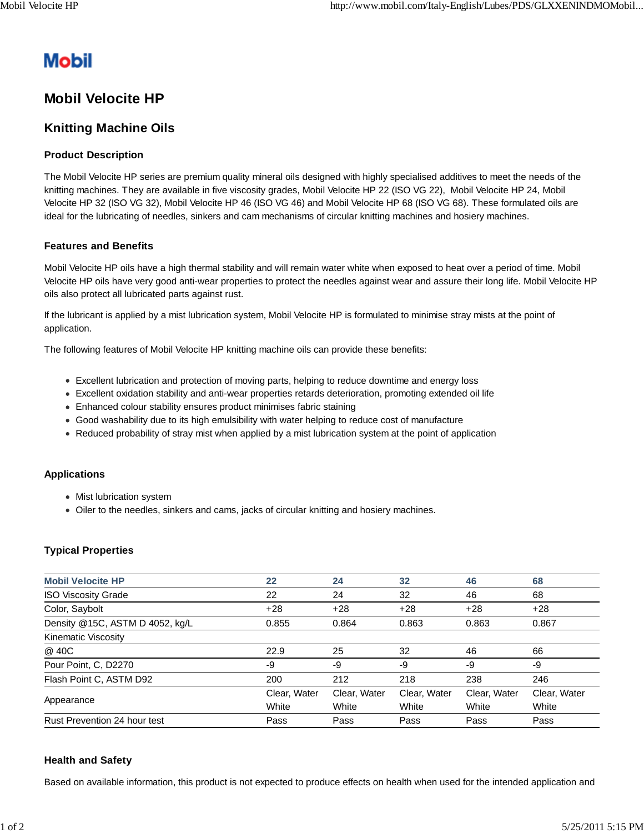# **Mobil**

# **Mobil Velocite HP**

## **Knitting Machine Oils**

### **Product Description**

The Mobil Velocite HP series are premium quality mineral oils designed with highly specialised additives to meet the needs of the knitting machines. They are available in five viscosity grades, Mobil Velocite HP 22 (ISO VG 22), Mobil Velocite HP 24, Mobil Velocite HP 32 (ISO VG 32), Mobil Velocite HP 46 (ISO VG 46) and Mobil Velocite HP 68 (ISO VG 68). These formulated oils are ideal for the lubricating of needles, sinkers and cam mechanisms of circular knitting machines and hosiery machines.

#### **Features and Benefits**

Mobil Velocite HP oils have a high thermal stability and will remain water white when exposed to heat over a period of time. Mobil Velocite HP oils have very good anti-wear properties to protect the needles against wear and assure their long life. Mobil Velocite HP oils also protect all lubricated parts against rust.

If the lubricant is applied by a mist lubrication system, Mobil Velocite HP is formulated to minimise stray mists at the point of application.

The following features of Mobil Velocite HP knitting machine oils can provide these benefits:

- Excellent lubrication and protection of moving parts, helping to reduce downtime and energy loss
- Excellent oxidation stability and anti-wear properties retards deterioration, promoting extended oil life
- Enhanced colour stability ensures product minimises fabric staining
- Good washability due to its high emulsibility with water helping to reduce cost of manufacture
- Reduced probability of stray mist when applied by a mist lubrication system at the point of application

#### **Applications**

- Mist lubrication system
- Oiler to the needles, sinkers and cams, jacks of circular knitting and hosiery machines.

## **Typical Properties**

| <b>Mobil Velocite HP</b>        | 22           | 24           | 32           | 46           | 68           |
|---------------------------------|--------------|--------------|--------------|--------------|--------------|
| <b>ISO Viscosity Grade</b>      | 22           | 24           | 32           | 46           | 68           |
| Color, Saybolt                  | $+28$        | $+28$        | $+28$        | $+28$        | $+28$        |
| Density @15C, ASTM D 4052, kg/L | 0.855        | 0.864        | 0.863        | 0.863        | 0.867        |
| Kinematic Viscosity             |              |              |              |              |              |
| @ 40C                           | 22.9         | 25           | 32           | 46           | 66           |
| Pour Point, C, D2270            | -9           | -9           | -9           | -9           | -9           |
| Flash Point C, ASTM D92         | 200          | 212          | 218          | 238          | 246          |
| Appearance                      | Clear, Water | Clear, Water | Clear, Water | Clear, Water | Clear, Water |
|                                 | White        | White        | White        | White        | White        |
| Rust Prevention 24 hour test    | Pass         | Pass         | Pass         | Pass         | Pass         |

#### **Health and Safety**

Based on available information, this product is not expected to produce effects on health when used for the intended application and